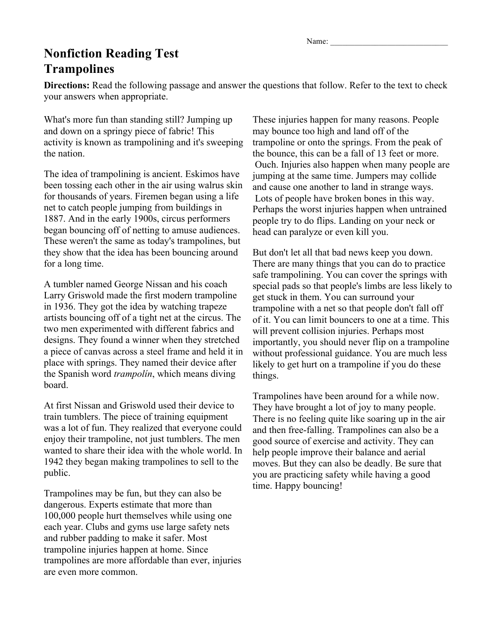Name:

## **Nonfiction Reading Test Trampolines**

**Directions:** Read the following passage and answer the questions that follow. Refer to the text to check your answers when appropriate.

What's more fun than standing still? Jumping up and down on a springy piece of fabric! This activity is known as trampolining and it's sweeping the nation.

The idea of trampolining is ancient. Eskimos have been tossing each other in the air using walrus skin for thousands of years. Firemen began using a life net to catch people jumping from buildings in 1887. And in the early 1900s, circus performers began bouncing off of netting to amuse audiences. These weren't the same as today's trampolines, but they show that the idea has been bouncing around for a long time.

A tumbler named George Nissan and his coach Larry Griswold made the first modern trampoline in 1936. They got the idea by watching trapeze artists bouncing off of a tight net at the circus. The two men experimented with different fabrics and designs. They found a winner when they stretched a piece of canvas across a steel frame and held it in place with springs. They named their device after the Spanish word *trampolín*, which means diving board.

At first Nissan and Griswold used their device to train tumblers. The piece of training equipment was a lot of fun. They realized that everyone could enjoy their trampoline, not just tumblers. The men wanted to share their idea with the whole world. In 1942 they began making trampolines to sell to the public.

Trampolines may be fun, but they can also be dangerous. Experts estimate that more than 100,000 people hurt themselves while using one each year. Clubs and gyms use large safety nets and rubber padding to make it safer. Most trampoline injuries happen at home. Since trampolines are more affordable than ever, injuries are even more common.

These injuries happen for many reasons. People may bounce too high and land off of the trampoline or onto the springs. From the peak of the bounce, this can be a fall of 13 feet or more. Ouch. Injuries also happen when many people are jumping at the same time. Jumpers may collide and cause one another to land in strange ways. Lots of people have broken bones in this way. Perhaps the worst injuries happen when untrained people try to do flips. Landing on your neck or head can paralyze or even kill you.

But don't let all that bad news keep you down. There are many things that you can do to practice safe trampolining. You can cover the springs with special pads so that people's limbs are less likely to get stuck in them. You can surround your trampoline with a net so that people don't fall off of it. You can limit bouncers to one at a time. This will prevent collision injuries. Perhaps most importantly, you should never flip on a trampoline without professional guidance. You are much less likely to get hurt on a trampoline if you do these things.

Trampolines have been around for a while now. They have brought a lot of joy to many people. There is no feeling quite like soaring up in the air and then free-falling. Trampolines can also be a good source of exercise and activity. They can help people improve their balance and aerial moves. But they can also be deadly. Be sure that you are practicing safety while having a good time. Happy bouncing!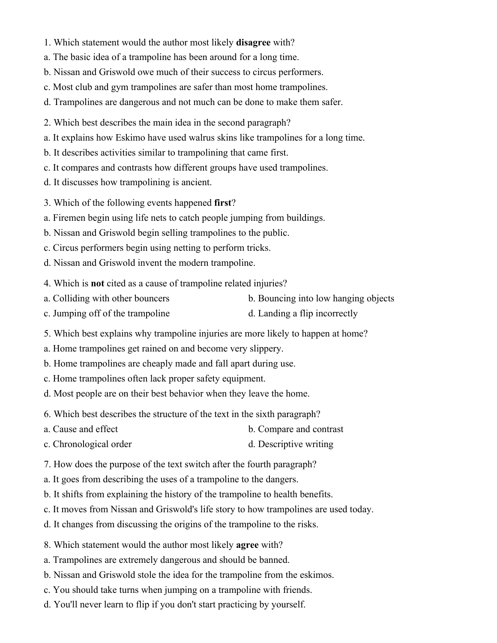- 1. Which statement would the author most likely **disagree** with?
- a. The basic idea of a trampoline has been around for a long time.
- b. Nissan and Griswold owe much of their success to circus performers.
- c. Most club and gym trampolines are safer than most home trampolines.
- d. Trampolines are dangerous and not much can be done to make them safer.
- 2. Which best describes the main idea in the second paragraph?
- a. It explains how Eskimo have used walrus skins like trampolines for a long time.
- b. It describes activities similar to trampolining that came first.
- c. It compares and contrasts how different groups have used trampolines.
- d. It discusses how trampolining is ancient.
- 3. Which of the following events happened **first**?
- a. Firemen begin using life nets to catch people jumping from buildings.
- b. Nissan and Griswold begin selling trampolines to the public.
- c. Circus performers begin using netting to perform tricks.
- d. Nissan and Griswold invent the modern trampoline.
- 4. Which is **not** cited as a cause of trampoline related injuries?
- a. Colliding with other bouncers b. Bouncing into low hanging objects
- c. Jumping off of the trampoline d. Landing a flip incorrectly
- 5. Which best explains why trampoline injuries are more likely to happen at home?
- a. Home trampolines get rained on and become very slippery.
- b. Home trampolines are cheaply made and fall apart during use.
- c. Home trampolines often lack proper safety equipment.
- d. Most people are on their best behavior when they leave the home.
- 6. Which best describes the structure of the text in the sixth paragraph?
- a. Cause and effect b. Compare and contrast
- c. Chronological order d. Descriptive writing
- 7. How does the purpose of the text switch after the fourth paragraph?
- a. It goes from describing the uses of a trampoline to the dangers.
- b. It shifts from explaining the history of the trampoline to health benefits.
- c. It moves from Nissan and Griswold's life story to how trampolines are used today.
- d. It changes from discussing the origins of the trampoline to the risks.
- 8. Which statement would the author most likely **agree** with?
- a. Trampolines are extremely dangerous and should be banned.
- b. Nissan and Griswold stole the idea for the trampoline from the eskimos.
- c. You should take turns when jumping on a trampoline with friends.
- d. You'll never learn to flip if you don't start practicing by yourself.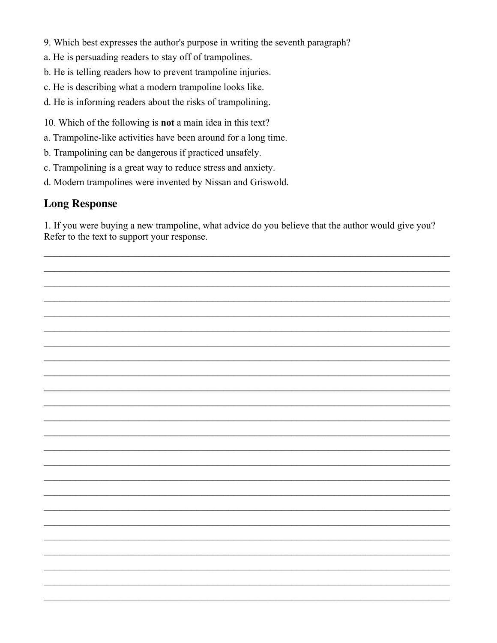- 9. Which best expresses the author's purpose in writing the seventh paragraph?
- a. He is persuading readers to stay off of trampolines.
- b. He is telling readers how to prevent trampoline injuries.
- c. He is describing what a modern trampoline looks like.
- d. He is informing readers about the risks of trampolining.
- 10. Which of the following is **not** a main idea in this text?
- a. Trampoline-like activities have been around for a long time.
- b. Trampolining can be dangerous if practiced unsafely.
- c. Trampolining is a great way to reduce stress and anxiety.
- d. Modern trampolines were invented by Nissan and Griswold.

## **Long Response**

1. If you were buying a new trampoline, what advice do you believe that the author would give you? Refer to the text to support your response.